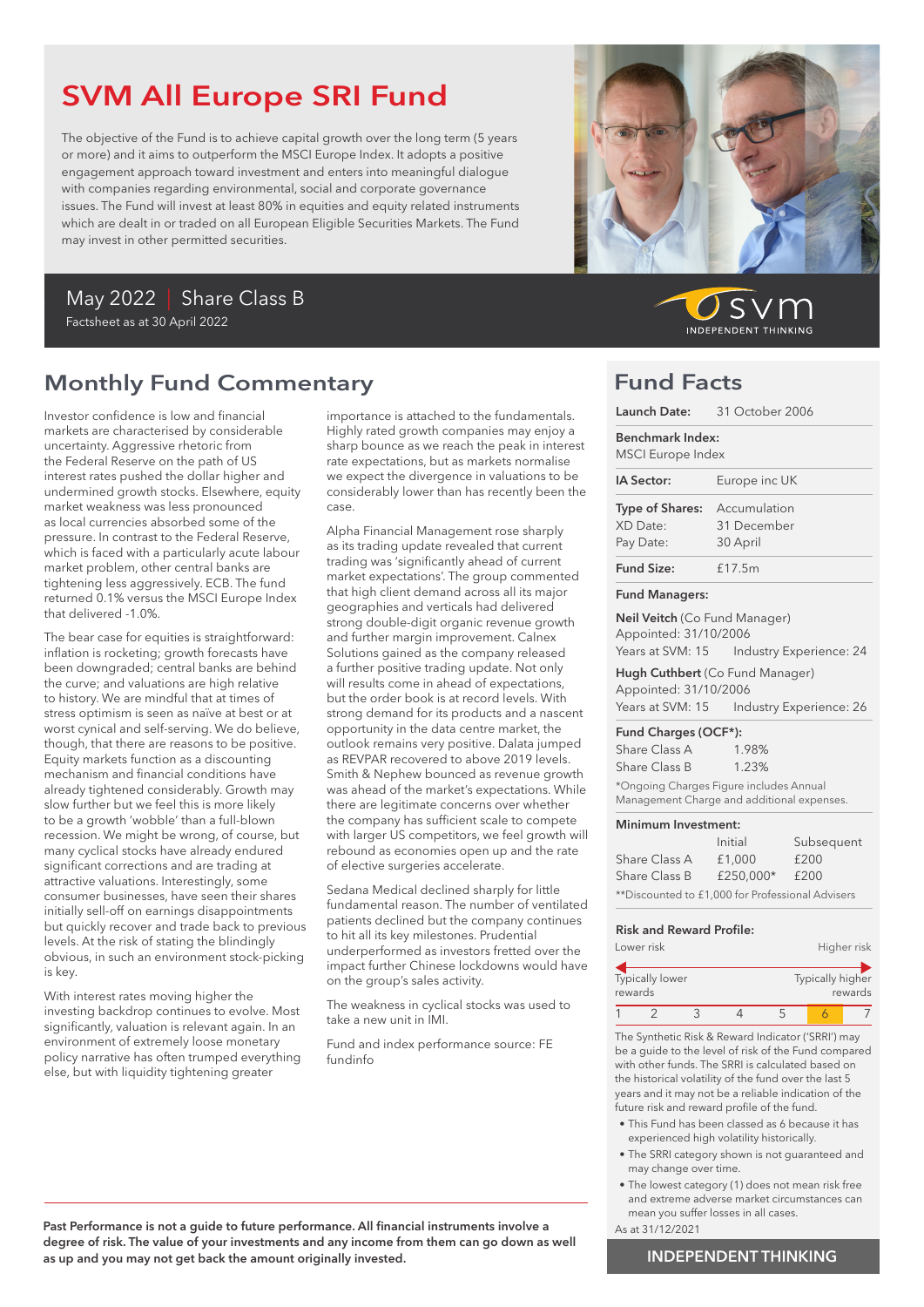# SVM All Europe SRI Fund

The objective of the Fund is to achieve capital growth over the long term (5 years or more) and it aims to outperform the MSCI Europe Index. It adopts a positive engagement approach toward investment and enters into meaningful dialogue with companies regarding environmental, social and corporate governance issues. The Fund will invest at least 80% in equities and equity related instruments which are dealt in or traded on all European Eligible Securities Markets. The Fund may invest in other permitted securities.

### May 2022 | Share Class B Factsheet as at 30 April 2022

## Monthly Fund Commentary

Investor confidence is low and financial markets are characterised by considerable uncertainty. Aggressive rhetoric from the Federal Reserve on the path of US interest rates pushed the dollar higher and undermined growth stocks. Elsewhere, equity market weakness was less pronounced as local currencies absorbed some of the pressure. In contrast to the Federal Reserve, which is faced with a particularly acute labour market problem, other central banks are tightening less aggressively. ECB. The fund returned 0.1% versus the MSCI Europe Index that delivered -1.0%.

The bear case for equities is straightforward: inflation is rocketing; growth forecasts have been downgraded; central banks are behind the curve; and valuations are high relative to history. We are mindful that at times of stress optimism is seen as naïve at best or at worst cynical and self-serving. We do believe, though, that there are reasons to be positive. Equity markets function as a discounting mechanism and financial conditions have already tightened considerably. Growth may slow further but we feel this is more likely to be a growth 'wobble' than a full-blown recession. We might be wrong, of course, but many cyclical stocks have already endured significant corrections and are trading at attractive valuations. Interestingly, some consumer businesses, have seen their shares initially sell-off on earnings disappointments but quickly recover and trade back to previous levels. At the risk of stating the blindingly obvious, in such an environment stock-picking is key.

With interest rates moving higher the investing backdrop continues to evolve. Most significantly, valuation is relevant again. In an environment of extremely loose monetary policy narrative has often trumped everything else, but with liquidity tightening greater

importance is attached to the fundamentals. Highly rated growth companies may enjoy a sharp bounce as we reach the peak in interest rate expectations, but as markets normalise we expect the divergence in valuations to be considerably lower than has recently been the case.

Alpha Financial Management rose sharply as its trading update revealed that current trading was 'significantly ahead of current market expectations'. The group commented that high client demand across all its major geographies and verticals had delivered strong double-digit organic revenue growth and further margin improvement. Calnex Solutions gained as the company released a further positive trading update. Not only will results come in ahead of expectations, but the order book is at record levels. With strong demand for its products and a nascent opportunity in the data centre market, the outlook remains very positive. Dalata jumped as REVPAR recovered to above 2019 levels. Smith & Nephew bounced as revenue growth was ahead of the market's expectations. While there are legitimate concerns over whether the company has sufficient scale to compete with larger US competitors, we feel growth will rebound as economies open up and the rate of elective surgeries accelerate.

Sedana Medical declined sharply for little fundamental reason. The number of ventilated patients declined but the company continues to hit all its key milestones. Prudential underperformed as investors fretted over the impact further Chinese lockdowns would have on the group's sales activity.

The weakness in cyclical stocks was used to take a new unit in IMI.

Fund and index performance source: FE fundinfo



 $\mathcal{S}$ **INDEPENDENT THINKING** 

## Fund Facts

|                                                              | Launch Date: 31 October 2006                                                   |
|--------------------------------------------------------------|--------------------------------------------------------------------------------|
| Benchmark Index:<br><b>MSCI</b> Europe Index                 |                                                                                |
| IA Sector:                                                   | Europe inc UK                                                                  |
| <b>Type of Shares:</b> Accumulation<br>XD Date:<br>Pay Date: | 31 December<br>30 April                                                        |
| <b>Fund Size:</b>                                            | £17.5m                                                                         |
| <b>Fund Managers:</b>                                        |                                                                                |
| Neil Veitch (Co Fund Manager)<br>Appointed: 31/10/2006       | Years at SVM: 15    Industry Experience: 24                                    |
| Appointed: 31/10/2006                                        | Hugh Cuthbert (Co Fund Manager)<br>Years at SVM: 15    Industry Experience: 26 |
| Fund Charges (OCF*):<br>Share Class A                        | 1.98%                                                                          |

Share Class B 1.23% \*Ongoing Charges Figure includes Annual Management Charge and additional expenses.

#### Minimum Investment:

|                                                  | Initial   | Subsequent |  |  |
|--------------------------------------------------|-----------|------------|--|--|
| Share Class A                                    | £1,000    | £200       |  |  |
| Share Class B                                    | £250.000* | £200       |  |  |
| **Discounted to £1,000 for Professional Advisers |           |            |  |  |

#### Risk and Reward Profile:

| Lower risk |                        |  | Higher risk |  |                  |         |
|------------|------------------------|--|-------------|--|------------------|---------|
| rewards    | <b>Typically lower</b> |  |             |  | Typically higher | rewards |
|            |                        |  |             |  |                  |         |

The Synthetic Risk & Reward Indicator ('SRRI') may be a guide to the level of risk of the Fund compared with other funds. The SRRI is calculated based on the historical volatility of the fund over the last 5 years and it may not be a reliable indication of the future risk and reward profile of the fund.

- This Fund has been classed as 6 because it has experienced high volatility historically.
- The SRRI category shown is not guaranteed and may change over time.
- The lowest category (1) does not mean risk free and extreme adverse market circumstances can mean you suffer losses in all cases.
- As at 31/12/2021

Past Performance is not a guide to future performance. All financial instruments involve a degree of risk. The value of your investments and any income from them can go down as well as up and you may not get back the amount originally invested.

### INDEPENDENT THINKING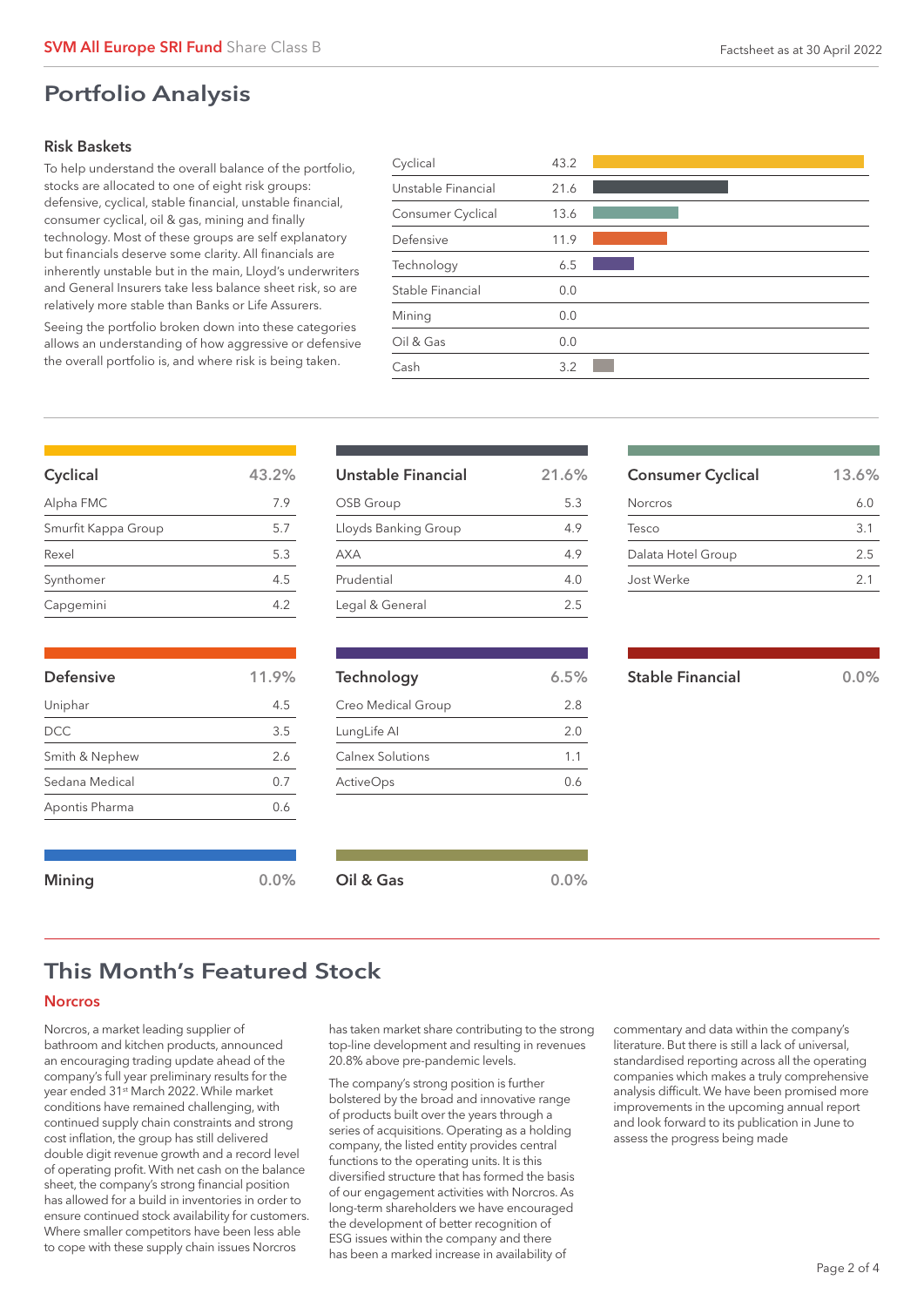### Risk Baskets

To help understand the overall balance of the portfolio, stocks are allocated to one of eight risk groups: defensive, cyclical, stable financial, unstable financial, consumer cyclical, oil & gas, mining and finally technology. Most of these groups are self explanatory but financials deserve some clarity. All financials are inherently unstable but in the main, Lloyd's underwriters and General Insurers take less balance sheet risk, so are relatively more stable than Banks or Life Assurers.

Seeing the portfolio broken down into these categories allows an understanding of how aggressive or defensive the overall portfolio is, and where risk is being taken.

| 43.2 |  |
|------|--|
| 21.6 |  |
| 13.6 |  |
| 11.9 |  |
| 6.5  |  |
| 0.0  |  |
| 0.0  |  |
| 0.0  |  |
| 3.2  |  |
|      |  |

| Cyclical            | 43.2% |
|---------------------|-------|
| Alpha FMC           | 7.9   |
| Smurfit Kappa Group | 5.7   |
| Rexel               | 5.3   |
| Synthomer           | 4.5   |
| Capgemini           | 4.2   |

| <b>Defensive</b> | 11.9% |
|------------------|-------|
| Uniphar          | 4.5   |
| <b>DCC</b>       | 3.5   |
| Smith & Nephew   | 2.6   |
| Sedana Medical   | 0.7   |
| Apontis Pharma   | 0.6   |

| Unstable Financial   | 21.6% |
|----------------------|-------|
| OSB Group            | 53    |
| Lloyds Banking Group | 4.9   |
| <b>AXA</b>           | 4.9   |
| Prudential           | 4.0   |
| Legal & General      | 2.5   |

| Technology         | 6.5% |
|--------------------|------|
| Creo Medical Group | 2.8  |
| LungLife Al        | 2.0  |
| Calnex Solutions   | 1.1  |
| <b>ActiveOps</b>   | 0.6  |
|                    |      |

| <b>Consumer Cyclical</b> | 13.6%          |
|--------------------------|----------------|
| Norcros                  | 6.0            |
| Tesco                    | $\mathbf{3.1}$ |
| Dalata Hotel Group       | 2.5            |
| Jost Werke               | 21             |
|                          |                |

| <b>Stable Financial</b> | $0.0\%$ |
|-------------------------|---------|
|                         |         |

|  | × |  |
|--|---|--|
|  |   |  |

## This Month's Featured Stock

Mining 0.0% Oil & Gas 0.0% 0.0%

### **Norcros**

Norcros, a market leading supplier of bathroom and kitchen products, announced an encouraging trading update ahead of the company's full year preliminary results for the year ended 31st March 2022. While market conditions have remained challenging, with continued supply chain constraints and strong cost inflation, the group has still delivered double digit revenue growth and a record level of operating profit. With net cash on the balance sheet, the company's strong financial position has allowed for a build in inventories in order to ensure continued stock availability for customers. Where smaller competitors have been less able to cope with these supply chain issues Norcros

has taken market share contributing to the strong top-line development and resulting in revenues 20.8% above pre-pandemic levels.

The company's strong position is further bolstered by the broad and innovative range of products built over the years through a series of acquisitions. Operating as a holding company, the listed entity provides central functions to the operating units. It is this diversified structure that has formed the basis of our engagement activities with Norcros. As long-term shareholders we have encouraged the development of better recognition of ESG issues within the company and there has been a marked increase in availability of

commentary and data within the company's literature. But there is still a lack of universal, standardised reporting across all the operating companies which makes a truly comprehensive analysis difficult. We have been promised more improvements in the upcoming annual report and look forward to its publication in June to assess the progress being made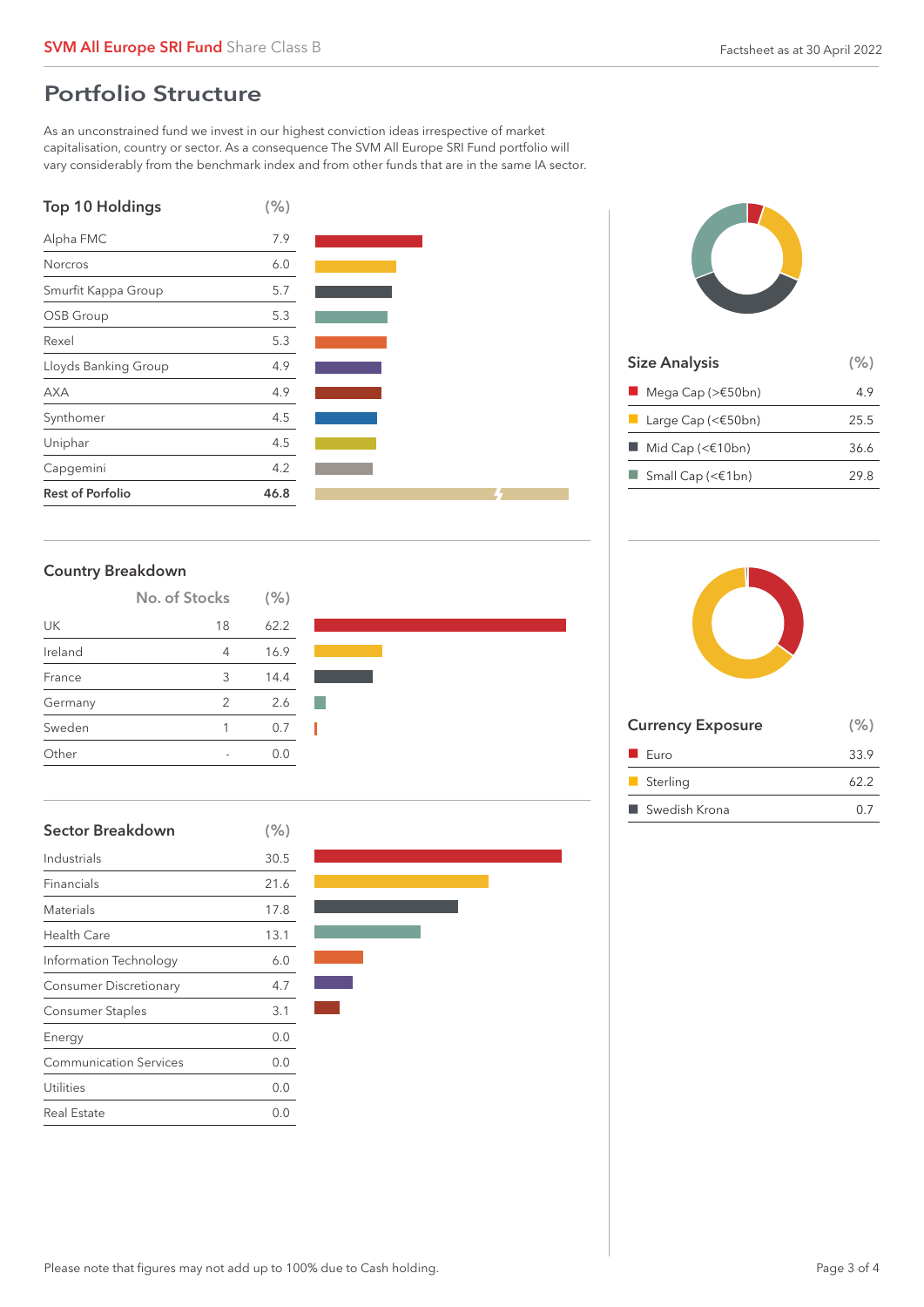## Portfolio Structure

As an unconstrained fund we invest in our highest conviction ideas irrespective of market capitalisation, country or sector. As a consequence The SVM All Europe SRI Fund portfolio will vary considerably from the benchmark index and from other funds that are in the same IA sector.







| <b>Size Analysis</b>                             | (% ) |
|--------------------------------------------------|------|
| $\blacksquare$ Mega Cap (> $\epsilon$ 50bn)      | 4.9  |
| <b>Large Cap (&lt;<math>\epsilon</math>50bn)</b> | 25.5 |
| $\blacksquare$ Mid Cap (< $\epsilon$ 10bn)       | 36.6 |
| $\Box$ Small Cap (< $\in$ 1bn)                   | 29.8 |
|                                                  |      |

### Country Breakdown

|         | No. of Stocks | (% ) |  |
|---------|---------------|------|--|
| UK      | 18            | 62.2 |  |
| Ireland | 4             | 16.9 |  |
| France  | 3             | 14.4 |  |
| Germany | 2             | 2.6  |  |
| Sweden  | 1             | 0.7  |  |
| ∩ther   |               | 0 O  |  |

| <b>Sector Breakdown</b>       | (% ) |
|-------------------------------|------|
| Industrials                   | 30.5 |
| Financials                    | 21.6 |
| Materials                     | 17.8 |
| Health Care                   | 13.1 |
| Information Technology        | 6.0  |
| <b>Consumer Discretionary</b> | 4.7  |
| Consumer Staples              | 3.1  |
| Energy                        | 0.0  |
| <b>Communication Services</b> | 0.0  |
| Utilities                     | 0.0  |
| Real Estate                   | 0.0  |





| <b>Currency Exposure</b> | (% ) |
|--------------------------|------|
| $\blacksquare$ Euro      | 33.9 |
| Sterling                 | 62.2 |
| ■ Swedish Krona          | በ 7  |
|                          |      |